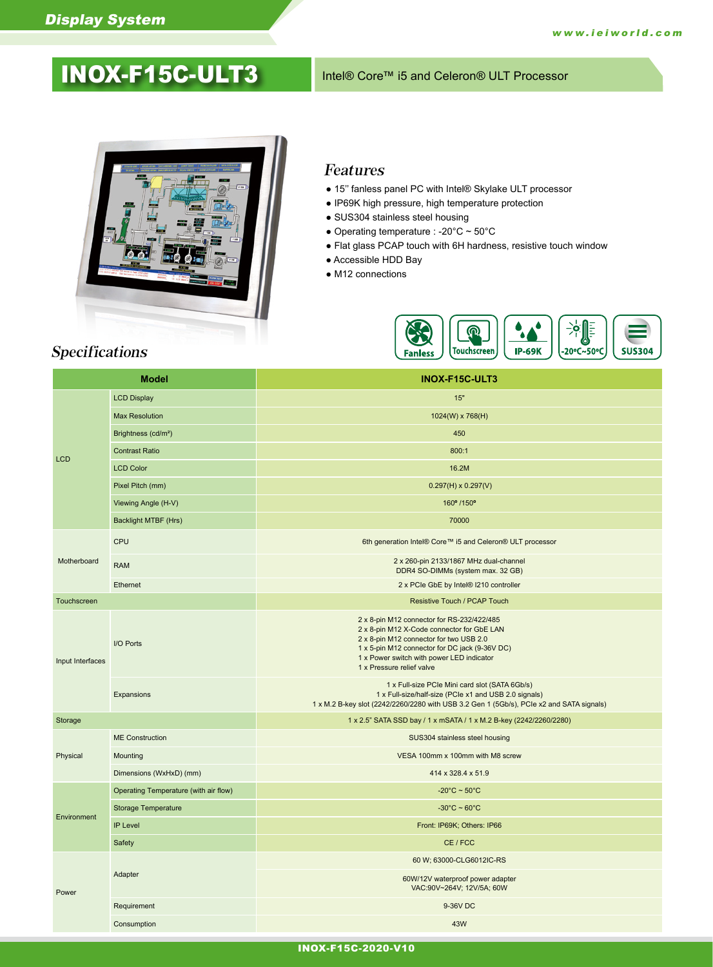# INOX-F15C-ULT3 Intel® Core™ i5 and Celeron® ULT Processor



### Features

- 15'' fanless panel PC with Intel® Skylake ULT processor
- IP69K high pressure, high temperature protection
- SUS304 stainless steel housing
- Operating temperature : -20 $^{\circ}$ C ~ 50 $^{\circ}$ C
- Flat glass PCAP touch with 6H hardness, resistive touch window
- Accessible HDD Bay
- M12 connections



# Specifications

| <b>LCD Display</b><br>15"<br><b>Max Resolution</b><br>1024(W) x 768(H)<br>Brightness (cd/m <sup>2</sup> )<br>450<br><b>Contrast Ratio</b><br>800:1<br><b>LCD</b><br><b>LCD Color</b><br>16.2M<br>Pixel Pitch (mm)<br>$0.297(H) \times 0.297(V)$<br>Viewing Angle (H-V)<br>160° /150°<br>Backlight MTBF (Hrs)<br>70000<br>CPU<br>6th generation Intel® Core™ i5 and Celeron® ULT processor<br>Motherboard<br>2 x 260-pin 2133/1867 MHz dual-channel<br><b>RAM</b><br>DDR4 SO-DIMMs (system max. 32 GB)<br>Ethernet<br>2 x PCIe GbE by Intel® I210 controller<br>Touchscreen<br><b>Resistive Touch / PCAP Touch</b><br>2 x 8-pin M12 connector for RS-232/422/485<br>2 x 8-pin M12 X-Code connector for GbE LAN<br>2 x 8-pin M12 connector for two USB 2.0<br>I/O Ports<br>1 x 5-pin M12 connector for DC jack (9-36V DC)<br>1 x Power switch with power LED indicator<br>Input Interfaces<br>1 x Pressure relief valve<br>1 x Full-size PCIe Mini card slot (SATA 6Gb/s)<br>1 x Full-size/half-size (PCIe x1 and USB 2.0 signals)<br>Expansions<br>1 x M.2 B-key slot (2242/2260/2280 with USB 3.2 Gen 1 (5Gb/s), PCle x2 and SATA signals)<br>Storage<br>1 x 2.5" SATA SSD bay / 1 x mSATA / 1 x M.2 B-key (2242/2260/2280)<br><b>ME</b> Construction<br>SUS304 stainless steel housing<br>Physical<br>Mounting<br>VESA 100mm x 100mm with M8 screw |
|-----------------------------------------------------------------------------------------------------------------------------------------------------------------------------------------------------------------------------------------------------------------------------------------------------------------------------------------------------------------------------------------------------------------------------------------------------------------------------------------------------------------------------------------------------------------------------------------------------------------------------------------------------------------------------------------------------------------------------------------------------------------------------------------------------------------------------------------------------------------------------------------------------------------------------------------------------------------------------------------------------------------------------------------------------------------------------------------------------------------------------------------------------------------------------------------------------------------------------------------------------------------------------------------------------------------------------------------------------|
|                                                                                                                                                                                                                                                                                                                                                                                                                                                                                                                                                                                                                                                                                                                                                                                                                                                                                                                                                                                                                                                                                                                                                                                                                                                                                                                                                     |
|                                                                                                                                                                                                                                                                                                                                                                                                                                                                                                                                                                                                                                                                                                                                                                                                                                                                                                                                                                                                                                                                                                                                                                                                                                                                                                                                                     |
|                                                                                                                                                                                                                                                                                                                                                                                                                                                                                                                                                                                                                                                                                                                                                                                                                                                                                                                                                                                                                                                                                                                                                                                                                                                                                                                                                     |
|                                                                                                                                                                                                                                                                                                                                                                                                                                                                                                                                                                                                                                                                                                                                                                                                                                                                                                                                                                                                                                                                                                                                                                                                                                                                                                                                                     |
|                                                                                                                                                                                                                                                                                                                                                                                                                                                                                                                                                                                                                                                                                                                                                                                                                                                                                                                                                                                                                                                                                                                                                                                                                                                                                                                                                     |
|                                                                                                                                                                                                                                                                                                                                                                                                                                                                                                                                                                                                                                                                                                                                                                                                                                                                                                                                                                                                                                                                                                                                                                                                                                                                                                                                                     |
|                                                                                                                                                                                                                                                                                                                                                                                                                                                                                                                                                                                                                                                                                                                                                                                                                                                                                                                                                                                                                                                                                                                                                                                                                                                                                                                                                     |
|                                                                                                                                                                                                                                                                                                                                                                                                                                                                                                                                                                                                                                                                                                                                                                                                                                                                                                                                                                                                                                                                                                                                                                                                                                                                                                                                                     |
|                                                                                                                                                                                                                                                                                                                                                                                                                                                                                                                                                                                                                                                                                                                                                                                                                                                                                                                                                                                                                                                                                                                                                                                                                                                                                                                                                     |
|                                                                                                                                                                                                                                                                                                                                                                                                                                                                                                                                                                                                                                                                                                                                                                                                                                                                                                                                                                                                                                                                                                                                                                                                                                                                                                                                                     |
|                                                                                                                                                                                                                                                                                                                                                                                                                                                                                                                                                                                                                                                                                                                                                                                                                                                                                                                                                                                                                                                                                                                                                                                                                                                                                                                                                     |
|                                                                                                                                                                                                                                                                                                                                                                                                                                                                                                                                                                                                                                                                                                                                                                                                                                                                                                                                                                                                                                                                                                                                                                                                                                                                                                                                                     |
|                                                                                                                                                                                                                                                                                                                                                                                                                                                                                                                                                                                                                                                                                                                                                                                                                                                                                                                                                                                                                                                                                                                                                                                                                                                                                                                                                     |
|                                                                                                                                                                                                                                                                                                                                                                                                                                                                                                                                                                                                                                                                                                                                                                                                                                                                                                                                                                                                                                                                                                                                                                                                                                                                                                                                                     |
|                                                                                                                                                                                                                                                                                                                                                                                                                                                                                                                                                                                                                                                                                                                                                                                                                                                                                                                                                                                                                                                                                                                                                                                                                                                                                                                                                     |
|                                                                                                                                                                                                                                                                                                                                                                                                                                                                                                                                                                                                                                                                                                                                                                                                                                                                                                                                                                                                                                                                                                                                                                                                                                                                                                                                                     |
|                                                                                                                                                                                                                                                                                                                                                                                                                                                                                                                                                                                                                                                                                                                                                                                                                                                                                                                                                                                                                                                                                                                                                                                                                                                                                                                                                     |
| Dimensions (WxHxD) (mm)<br>414 x 328.4 x 51.9                                                                                                                                                                                                                                                                                                                                                                                                                                                                                                                                                                                                                                                                                                                                                                                                                                                                                                                                                                                                                                                                                                                                                                                                                                                                                                       |
| Operating Temperature (with air flow)<br>$-20^{\circ}$ C ~ 50 $^{\circ}$ C                                                                                                                                                                                                                                                                                                                                                                                                                                                                                                                                                                                                                                                                                                                                                                                                                                                                                                                                                                                                                                                                                                                                                                                                                                                                          |
| <b>Storage Temperature</b><br>$-30^{\circ}$ C ~ 60 $^{\circ}$ C<br>Environment                                                                                                                                                                                                                                                                                                                                                                                                                                                                                                                                                                                                                                                                                                                                                                                                                                                                                                                                                                                                                                                                                                                                                                                                                                                                      |
| <b>IP Level</b><br>Front: IP69K; Others: IP66                                                                                                                                                                                                                                                                                                                                                                                                                                                                                                                                                                                                                                                                                                                                                                                                                                                                                                                                                                                                                                                                                                                                                                                                                                                                                                       |
| Safety<br>CE / FCC                                                                                                                                                                                                                                                                                                                                                                                                                                                                                                                                                                                                                                                                                                                                                                                                                                                                                                                                                                                                                                                                                                                                                                                                                                                                                                                                  |
| 60 W; 63000-CLG6012IC-RS                                                                                                                                                                                                                                                                                                                                                                                                                                                                                                                                                                                                                                                                                                                                                                                                                                                                                                                                                                                                                                                                                                                                                                                                                                                                                                                            |
| Adapter<br>60W/12V waterproof power adapter<br>VAC:90V~264V; 12V/5A; 60W<br>Power                                                                                                                                                                                                                                                                                                                                                                                                                                                                                                                                                                                                                                                                                                                                                                                                                                                                                                                                                                                                                                                                                                                                                                                                                                                                   |
| Requirement<br>9-36V DC                                                                                                                                                                                                                                                                                                                                                                                                                                                                                                                                                                                                                                                                                                                                                                                                                                                                                                                                                                                                                                                                                                                                                                                                                                                                                                                             |
| Consumption<br>43W                                                                                                                                                                                                                                                                                                                                                                                                                                                                                                                                                                                                                                                                                                                                                                                                                                                                                                                                                                                                                                                                                                                                                                                                                                                                                                                                  |